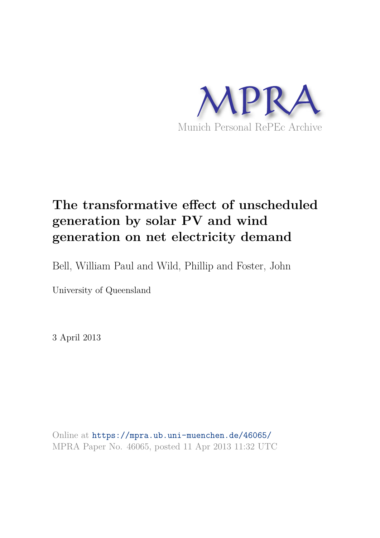

# **The transformative effect of unscheduled generation by solar PV and wind generation on net electricity demand**

Bell, William Paul and Wild, Phillip and Foster, John

University of Queensland

3 April 2013

Online at https://mpra.ub.uni-muenchen.de/46065/ MPRA Paper No. 46065, posted 11 Apr 2013 11:32 UTC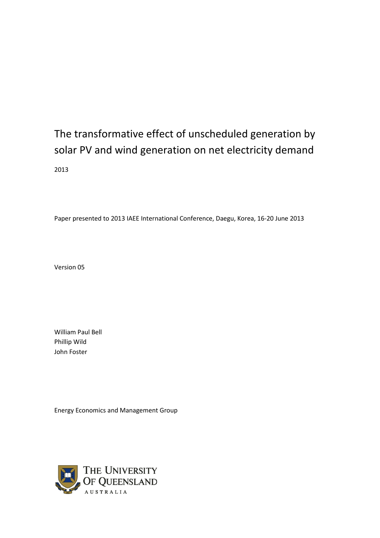# The transformative effect of unscheduled generation by solar PV and wind generation on net electricity demand 2013

Paper presented to 2013 IAEE International Conference, Daegu, Korea, 16-20 June 2013

Version 05

William Paul Bell Phillip Wild John Foster

Energy Economics and Management Group

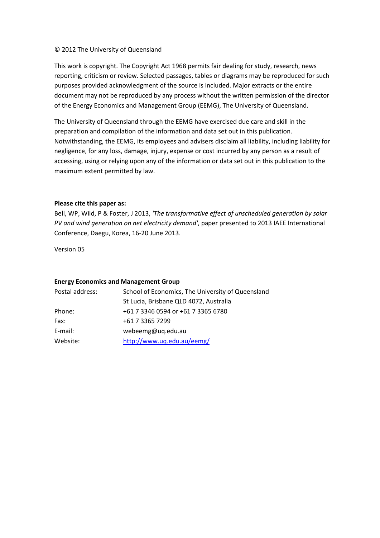#### © 2012 The University of Queensland

This work is copyright. The Copyright Act 1968 permits fair dealing for study, research, news reporting, criticism or review. Selected passages, tables or diagrams may be reproduced for such purposes provided acknowledgment of the source is included. Major extracts or the entire document may not be reproduced by any process without the written permission of the director of the Energy Economics and Management Group (EEMG), The University of Queensland.

The University of Queensland through the EEMG have exercised due care and skill in the preparation and compilation of the information and data set out in this publication. Notwithstanding, the EEMG, its employees and advisers disclaim all liability, including liability for negligence, for any loss, damage, injury, expense or cost incurred by any person as a result of accessing, using or relying upon any of the information or data set out in this publication to the maximum extent permitted by law.

#### **Please cite this paper as:**

Bell, WP, Wild, P & Foster, J 2013, *'The transformative effect of unscheduled generation by solar PV and wind generation on net electricity demand'*, paper presented to 2013 IAEE International Conference, Daegu, Korea, 16-20 June 2013.

Version 05

#### **Energy Economics and Management Group**

| School of Economics, The University of Queensland |
|---------------------------------------------------|
| St Lucia, Brisbane QLD 4072, Australia            |
| +61 7 3346 0594 or +61 7 3365 6780                |
| +61 7 3365 7299                                   |
| webeemg@uq.edu.au                                 |
| http://www.uq.edu.au/eemg/                        |
|                                                   |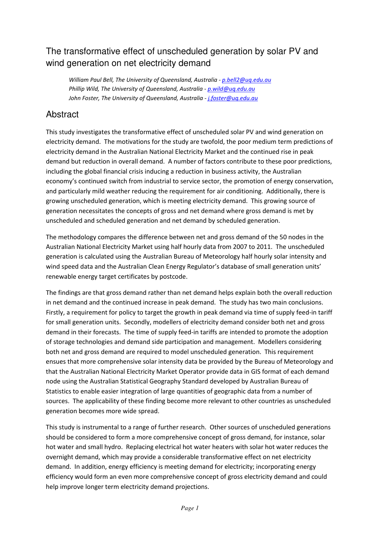# The transformative effect of unscheduled generation by solar PV and wind generation on net electricity demand

*William Paul Bell, The University of Queensland, Australia - p.bell2@uq.edu.au Phillip Wild, The University of Queensland, Australia - p.wild@uq.edu.au John Foster, The University of Queensland, Australia - j.foster@uq.edu.au*

## Abstract

This study investigates the transformative effect of unscheduled solar PV and wind generation on electricity demand. The motivations for the study are twofold, the poor medium term predictions of electricity demand in the Australian National Electricity Market and the continued rise in peak demand but reduction in overall demand. A number of factors contribute to these poor predictions, including the global financial crisis inducing a reduction in business activity, the Australian economy's continued switch from industrial to service sector, the promotion of energy conservation, and particularly mild weather reducing the requirement for air conditioning. Additionally, there is growing unscheduled generation, which is meeting electricity demand. This growing source of generation necessitates the concepts of gross and net demand where gross demand is met by unscheduled and scheduled generation and net demand by scheduled generation.

The methodology compares the difference between net and gross demand of the 50 nodes in the Australian National Electricity Market using half hourly data from 2007 to 2011. The unscheduled generation is calculated using the Australian Bureau of Meteorology half hourly solar intensity and wind speed data and the Australian Clean Energy Regulator's database of small generation units' renewable energy target certificates by postcode.

The findings are that gross demand rather than net demand helps explain both the overall reduction in net demand and the continued increase in peak demand. The study has two main conclusions. Firstly, a requirement for policy to target the growth in peak demand via time of supply feed-in tariff for small generation units. Secondly, modellers of electricity demand consider both net and gross demand in their forecasts. The time of supply feed-in tariffs are intended to promote the adoption of storage technologies and demand side participation and management. Modellers considering both net and gross demand are required to model unscheduled generation. This requirement ensues that more comprehensive solar intensity data be provided by the Bureau of Meteorology and that the Australian National Electricity Market Operator provide data in GIS format of each demand node using the Australian Statistical Geography Standard developed by Australian Bureau of Statistics to enable easier integration of large quantities of geographic data from a number of sources. The applicability of these finding become more relevant to other countries as unscheduled generation becomes more wide spread.

This study is instrumental to a range of further research. Other sources of unscheduled generations should be considered to form a more comprehensive concept of gross demand, for instance, solar hot water and small hydro. Replacing electrical hot water heaters with solar hot water reduces the overnight demand, which may provide a considerable transformative effect on net electricity demand. In addition, energy efficiency is meeting demand for electricity; incorporating energy efficiency would form an even more comprehensive concept of gross electricity demand and could help improve longer term electricity demand projections.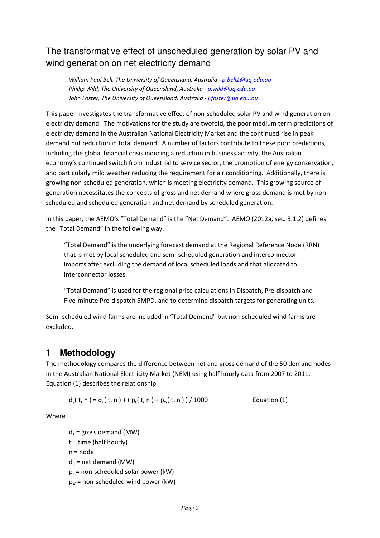# The transformative effect of unscheduled generation by solar PV and wind generation on net electricity demand

*William Paul Bell, The University of Queensland, Australia - p.bell2@uq.edu.au Phillip Wild, The University of Queensland, Australia - p.wild@uq.edu.au John Foster, The University of Queensland, Australia - j.foster@uq.edu.au*

This paper investigates the transformative effect of non-scheduled solar PV and wind generation on electricity demand. The motivations for the study are twofold, the poor medium term predictions of electricity demand in the Australian National Electricity Market and the continued rise in peak demand but reduction in total demand. A number of factors contribute to these poor predictions, including the global financial crisis inducing a reduction in business activity, the Australian economy's continued switch from industrial to service sector, the promotion of energy conservation, and particularly mild weather reducing the requirement for air conditioning. Additionally, there is growing non-scheduled generation, which is meeting electricity demand. This growing source of generation necessitates the concepts of gross and net demand where gross demand is met by nonscheduled and scheduled generation and net demand by scheduled generation.

In this paper, the AEMO's "Total Demand" is the "Net Demand". AEMO (2012a, sec. 3.1.2) defines the "Total Demand" in the following way.

"Total Demand" is the underlying forecast demand at the Regional Reference Node (RRN) that is met by local scheduled and semi-scheduled generation and interconnector imports after excluding the demand of local scheduled loads and that allocated to interconnector losses.

"Total Demand" is used for the regional price calculations in Dispatch, Pre-dispatch and Five-minute Pre-dispatch 5MPD, and to determine dispatch targets for generating units.

Semi-scheduled wind farms are included in "Total Demand" but non-scheduled wind farms are excluded.

## **1 Methodology**

The methodology compares the difference between net and gross demand of the 50 demand nodes in the Australian National Electricity Market (NEM) using half hourly data from 2007 to 2011. Equation (1) describes the relationship.

$$
d_g(t, n) = d_n(t, n) + (p_s(t, n) + p_w(t, n)) / 1000
$$
 Equation (1)

Where

 $d_e$  = gross demand (MW)  $t =$  time (half hourly)  $n = node$  $d_n$  = net demand (MW)  $p_s$  = non-scheduled solar power (kW)  $p_w$  = non-scheduled wind power (kW)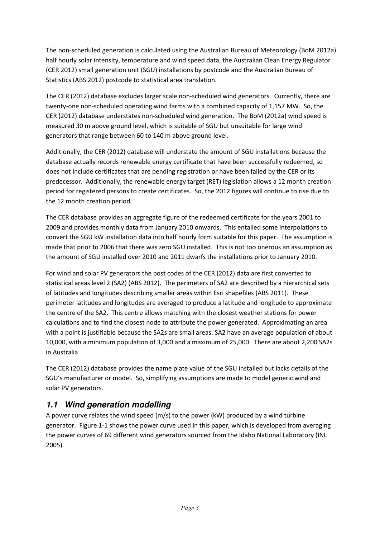The non-scheduled generation is calculated using the Australian Bureau of Meteorology (BoM 2012a) half hourly solar intensity, temperature and wind speed data, the Australian Clean Energy Regulator (CER 2012) small generation unit (SGU) installations by postcode and the Australian Bureau of Statistics (ABS 2012) postcode to statistical area translation.

The CER (2012) database excludes larger scale non-scheduled wind generators. Currently, there are twenty-one non-scheduled operating wind farms with a combined capacity of 1,157 MW. So, the CER (2012) database understates non-scheduled wind generation. The BoM (2012a) wind speed is measured 30 m above ground level, which is suitable of SGU but unsuitable for large wind generators that range between 60 to 140 m above ground level.

Additionally, the CER (2012) database will understate the amount of SGU installations because the database actually records renewable energy certificate that have been successfully redeemed, so does not include certificates that are pending registration or have been failed by the CER or its predecessor. Additionally, the renewable energy target (RET) legislation allows a 12 month creation period for registered persons to create certificates. So, the 2012 figures will continue to rise due to the 12 month creation period.

The CER database provides an aggregate figure of the redeemed certificate for the years 2001 to 2009 and provides monthly data from January 2010 onwards. This entailed some interpolations to convert the SGU kW installation data into half hourly form suitable for this paper. The assumption is made that prior to 2006 that there was zero SGU installed. This is not too onerous an assumption as the amount of SGU installed over 2010 and 2011 dwarfs the installations prior to January 2010.

For wind and solar PV generators the post codes of the CER (2012) data are first converted to statistical areas level 2 (SA2) (ABS 2012). The perimeters of SA2 are described by a hierarchical sets of latitudes and longitudes describing smaller areas within Esri shapefiles (ABS 2011). These perimeter latitudes and longitudes are averaged to produce a latitude and longitude to approximate the centre of the SA2. This centre allows matching with the closest weather stations for power calculations and to find the closest node to attribute the power generated. Approximating an area with a point is justifiable because the SA2s are small areas. SA2 have an average population of about 10,000, with a minimum population of 3,000 and a maximum of 25,000. There are about 2,200 SA2s in Australia.

The CER (2012) database provides the name plate value of the SGU installed but lacks details of the SGU's manufacturer or model. So, simplifying assumptions are made to model generic wind and solar PV generators.

#### **1.1 Wind generation modelling**

A power curve relates the wind speed (m/s) to the power (kW) produced by a wind turbine generator. Figure 1-1 shows the power curve used in this paper, which is developed from averaging the power curves of 69 different wind generators sourced from the Idaho National Laboratory (INL 2005).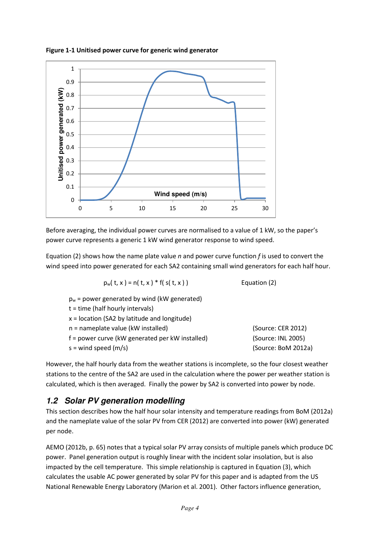

**Figure 1-1 Unitised power curve for generic wind generator**

Before averaging, the individual power curves are normalised to a value of 1 kW, so the paper's power curve represents a generic 1 kW wind generator response to wind speed.

Equation (2) shows how the name plate value *n* and power curve function *f* is used to convert the wind speed into power generated for each SA2 containing small wind generators for each half hour.

$$
p_w(t, x) = n(t, x) * f(s(t, x))
$$
 Equation (2)

 $p_w$  = power generated by wind (kW generated) t = time (half hourly intervals)

| x = location (SA2 by latitude and longitude)    |                     |
|-------------------------------------------------|---------------------|
| n = nameplate value (kW installed)              | (Source: CER 2012)  |
| f = power curve (kW generated per kW installed) | (Source: INL 2005)  |
| s = wind speed (m/s)                            | (Source: BoM 2012a) |

However, the half hourly data from the weather stations is incomplete, so the four closest weather stations to the centre of the SA2 are used in the calculation where the power per weather station is calculated, which is then averaged. Finally the power by SA2 is converted into power by node.

#### **1.2 Solar PV generation modelling**

This section describes how the half hour solar intensity and temperature readings from BoM (2012a) and the nameplate value of the solar PV from CER (2012) are converted into power (kW) generated per node.

AEMO (2012b, p. 65) notes that a typical solar PV array consists of multiple panels which produce DC power. Panel generation output is roughly linear with the incident solar insolation, but is also impacted by the cell temperature. This simple relationship is captured in Equation (3), which calculates the usable AC power generated by solar PV for this paper and is adapted from the US National Renewable Energy Laboratory (Marion et al. 2001). Other factors influence generation,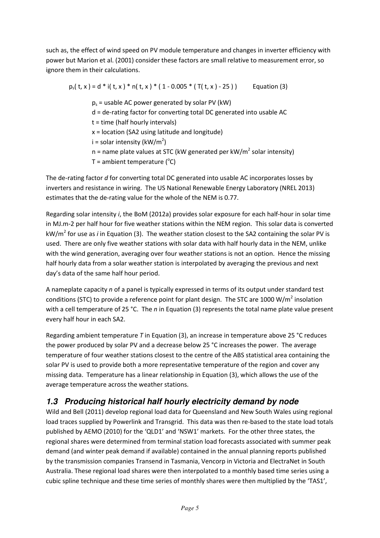such as, the effect of wind speed on PV module temperature and changes in inverter efficiency with power but Marion et al. (2001) consider these factors are small relative to measurement error, so ignore them in their calculations.

 $p_s(t, x) = d * i(t, x) * n(t, x) * (1 - 0.005 * (T(t, x) - 25))$  Equation (3)  $p_s$  = usable AC power generated by solar PV (kW) d = de-rating factor for converting total DC generated into usable AC t = time (half hourly intervals) x = location (SA2 using latitude and longitude)  $i =$  solar intensity (kW/m<sup>2</sup>) n = name plate values at STC (kW generated per kW/m<sup>2</sup> solar intensity)

 $T =$  ambient temperature ( $^{\circ}$ C)

The de-rating factor *d* for converting total DC generated into usable AC incorporates losses by inverters and resistance in wiring. The US National Renewable Energy Laboratory (NREL 2013) estimates that the de-rating value for the whole of the NEM is 0.77.

Regarding solar intensity *i*, the BoM (2012a) provides solar exposure for each half-hour in solar time in MJ.m-2 per half hour for five weather stations within the NEM region. This solar data is converted kW/m<sup>2</sup> for use as *i* in Equation (3). The weather station closest to the SA2 containing the solar PV is used. There are only five weather stations with solar data with half hourly data in the NEM, unlike with the wind generation, averaging over four weather stations is not an option. Hence the missing half hourly data from a solar weather station is interpolated by averaging the previous and next day's data of the same half hour period.

A nameplate capacity *n* of a panel is typically expressed in terms of its output under standard test conditions (STC) to provide a reference point for plant design. The STC are 1000 W/m<sup>2</sup> insolation with a cell temperature of 25 °C. The *n* in Equation (3) represents the total name plate value present every half hour in each SA2.

Regarding ambient temperature *T* in Equation (3), an increase in temperature above 25 °C reduces the power produced by solar PV and a decrease below 25 °C increases the power. The average temperature of four weather stations closest to the centre of the ABS statistical area containing the solar PV is used to provide both a more representative temperature of the region and cover any missing data. Temperature has a linear relationship in Equation (3), which allows the use of the average temperature across the weather stations.

#### **1.3 Producing historical half hourly electricity demand by node**

Wild and Bell (2011) develop regional load data for Queensland and New South Wales using regional load traces supplied by Powerlink and Transgrid. This data was then re-based to the state load totals published by AEMO (2010) for the 'QLD1' and 'NSW1' markets. For the other three states, the regional shares were determined from terminal station load forecasts associated with summer peak demand (and winter peak demand if available) contained in the annual planning reports published by the transmission companies Transend in Tasmania, Vencorp in Victoria and ElectraNet in South Australia. These regional load shares were then interpolated to a monthly based time series using a cubic spline technique and these time series of monthly shares were then multiplied by the 'TAS1',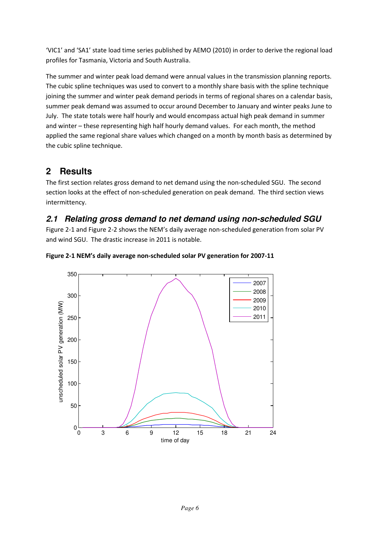'VIC1' and 'SA1' state load time series published by AEMO (2010) in order to derive the regional load profiles for Tasmania, Victoria and South Australia.

The summer and winter peak load demand were annual values in the transmission planning reports. The cubic spline techniques was used to convert to a monthly share basis with the spline technique joining the summer and winter peak demand periods in terms of regional shares on a calendar basis, summer peak demand was assumed to occur around December to January and winter peaks June to July. The state totals were half hourly and would encompass actual high peak demand in summer and winter – these representing high half hourly demand values. For each month, the method applied the same regional share values which changed on a month by month basis as determined by the cubic spline technique.

# **2 Results**

The first section relates gross demand to net demand using the non-scheduled SGU. The second section looks at the effect of non-scheduled generation on peak demand. The third section views intermittency.

## **2.1 Relating gross demand to net demand using non-scheduled SGU**

Figure 2-1 and Figure 2-2 shows the NEM's daily average non-scheduled generation from solar PV and wind SGU. The drastic increase in 2011 is notable.



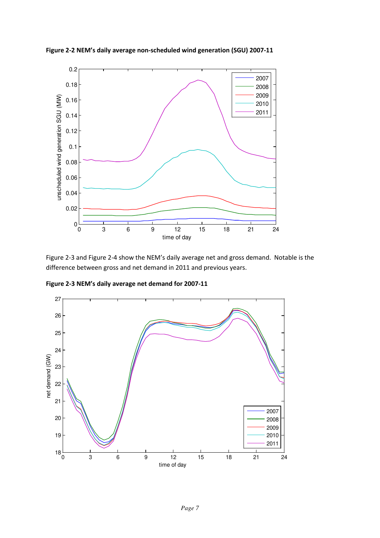

**Figure 2-2 NEM's daily average non-scheduled wind generation (SGU) 2007-11**

Figure 2-3 and Figure 2-4 show the NEM's daily average net and gross demand. Notable is the difference between gross and net demand in 2011 and previous years.

**Figure 2-3 NEM's daily average net demand for 2007-11**

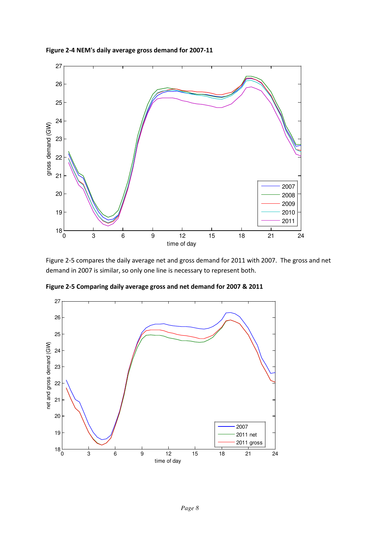



Figure 2-5 compares the daily average net and gross demand for 2011 with 2007. The gross and net demand in 2007 is similar, so only one line is necessary to represent both.



**Figure 2-5 Comparing daily average gross and net demand for 2007 & 2011**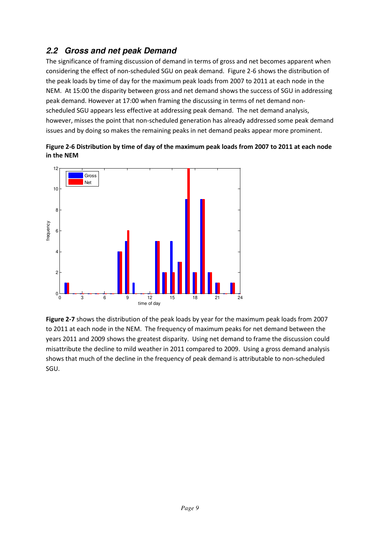## **2.2 Gross and net peak Demand**

The significance of framing discussion of demand in terms of gross and net becomes apparent when considering the effect of non-scheduled SGU on peak demand. Figure 2-6 shows the distribution of the peak loads by time of day for the maximum peak loads from 2007 to 2011 at each node in the NEM. At 15:00 the disparity between gross and net demand shows the success of SGU in addressing peak demand. However at 17:00 when framing the discussing in terms of net demand nonscheduled SGU appears less effective at addressing peak demand. The net demand analysis, however, misses the point that non-scheduled generation has already addressed some peak demand issues and by doing so makes the remaining peaks in net demand peaks appear more prominent.





**Figure 2-7** shows the distribution of the peak loads by year for the maximum peak loads from 2007 to 2011 at each node in the NEM. The frequency of maximum peaks for net demand between the years 2011 and 2009 shows the greatest disparity. Using net demand to frame the discussion could misattribute the decline to mild weather in 2011 compared to 2009. Using a gross demand analysis shows that much of the decline in the frequency of peak demand is attributable to non-scheduled SGU.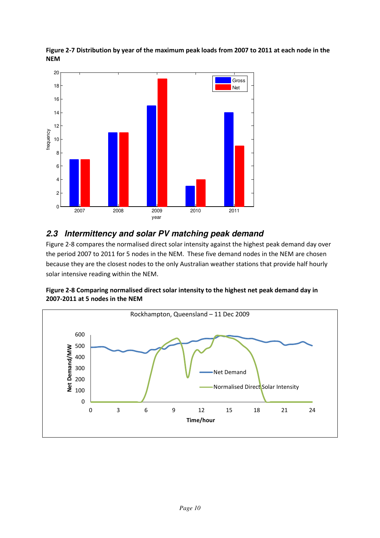

**Figure 2-7 Distribution by year of the maximum peak loads from 2007 to 2011 at each node in the NEM**

#### **2.3 Intermittency and solar PV matching peak demand**

Figure 2-8 compares the normalised direct solar intensity against the highest peak demand day over the period 2007 to 2011 for 5 nodes in the NEM. These five demand nodes in the NEM are chosen because they are the closest nodes to the only Australian weather stations that provide half hourly solar intensive reading within the NEM.



**Figure 2-8 Comparing normalised direct solar intensity to the highest net peak demand day in 2007-2011 at 5 nodes in the NEM**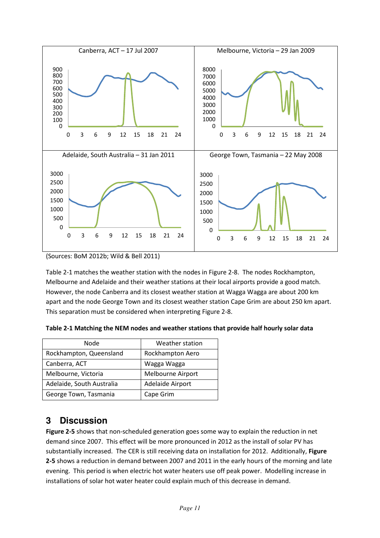

<sup>(</sup>Sources: BoM 2012b; Wild & Bell 2011)

Table 2-1 matches the weather station with the nodes in Figure 2-8. The nodes Rockhampton, Melbourne and Adelaide and their weather stations at their local airports provide a good match. However, the node Canberra and its closest weather station at Wagga Wagga are about 200 km apart and the node George Town and its closest weather station Cape Grim are about 250 km apart. This separation must be considered when interpreting Figure 2-8.

|  | Table 2-1 Matching the NEM nodes and weather stations that provide half hourly solar data |  |  |
|--|-------------------------------------------------------------------------------------------|--|--|
|--|-------------------------------------------------------------------------------------------|--|--|

| Node                      | Weather station   |
|---------------------------|-------------------|
| Rockhampton, Queensland   | Rockhampton Aero  |
| Canberra, ACT             | Wagga Wagga       |
| Melbourne, Victoria       | Melbourne Airport |
| Adelaide, South Australia | Adelaide Airport  |
| George Town, Tasmania     | Cape Grim         |

# **3 Discussion**

**Figure 2-5** shows that non-scheduled generation goes some way to explain the reduction in net demand since 2007. This effect will be more pronounced in 2012 as the install of solar PV has substantially increased. The CER is still receiving data on installation for 2012. Additionally, **Figure 2-5** shows a reduction in demand between 2007 and 2011 in the early hours of the morning and late evening. This period is when electric hot water heaters use off peak power. Modelling increase in installations of solar hot water heater could explain much of this decrease in demand.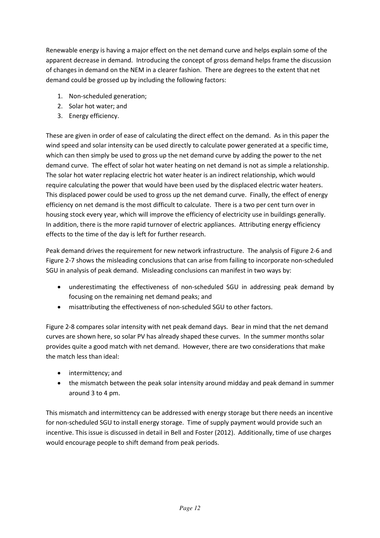Renewable energy is having a major effect on the net demand curve and helps explain some of the apparent decrease in demand. Introducing the concept of gross demand helps frame the discussion of changes in demand on the NEM in a clearer fashion. There are degrees to the extent that net demand could be grossed up by including the following factors:

- 1. Non-scheduled generation;
- 2. Solar hot water; and
- 3. Energy efficiency.

These are given in order of ease of calculating the direct effect on the demand. As in this paper the wind speed and solar intensity can be used directly to calculate power generated at a specific time, which can then simply be used to gross up the net demand curve by adding the power to the net demand curve. The effect of solar hot water heating on net demand is not as simple a relationship. The solar hot water replacing electric hot water heater is an indirect relationship, which would require calculating the power that would have been used by the displaced electric water heaters. This displaced power could be used to gross up the net demand curve. Finally, the effect of energy efficiency on net demand is the most difficult to calculate. There is a two per cent turn over in housing stock every year, which will improve the efficiency of electricity use in buildings generally. In addition, there is the more rapid turnover of electric appliances. Attributing energy efficiency effects to the time of the day is left for further research.

Peak demand drives the requirement for new network infrastructure. The analysis of Figure 2-6 and Figure 2-7 shows the misleading conclusions that can arise from failing to incorporate non-scheduled SGU in analysis of peak demand. Misleading conclusions can manifest in two ways by:

- underestimating the effectiveness of non-scheduled SGU in addressing peak demand by focusing on the remaining net demand peaks; and
- misattributing the effectiveness of non-scheduled SGU to other factors.

Figure 2-8 compares solar intensity with net peak demand days. Bear in mind that the net demand curves are shown here, so solar PV has already shaped these curves. In the summer months solar provides quite a good match with net demand. However, there are two considerations that make the match less than ideal:

- intermittency; and
- the mismatch between the peak solar intensity around midday and peak demand in summer around 3 to 4 pm.

This mismatch and intermittency can be addressed with energy storage but there needs an incentive for non-scheduled SGU to install energy storage. Time of supply payment would provide such an incentive. This issue is discussed in detail in Bell and Foster (2012). Additionally, time of use charges would encourage people to shift demand from peak periods.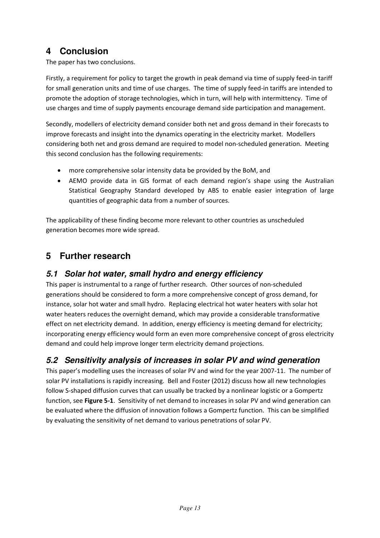# **4 Conclusion**

The paper has two conclusions.

Firstly, a requirement for policy to target the growth in peak demand via time of supply feed-in tariff for small generation units and time of use charges. The time of supply feed-in tariffs are intended to promote the adoption of storage technologies, which in turn, will help with intermittency. Time of use charges and time of supply payments encourage demand side participation and management.

Secondly, modellers of electricity demand consider both net and gross demand in their forecasts to improve forecasts and insight into the dynamics operating in the electricity market. Modellers considering both net and gross demand are required to model non-scheduled generation. Meeting this second conclusion has the following requirements:

- more comprehensive solar intensity data be provided by the BoM, and
- AEMO provide data in GIS format of each demand region's shape using the Australian Statistical Geography Standard developed by ABS to enable easier integration of large quantities of geographic data from a number of sources.

The applicability of these finding become more relevant to other countries as unscheduled generation becomes more wide spread.

# **5 Further research**

### **5.1 Solar hot water, small hydro and energy efficiency**

This paper is instrumental to a range of further research. Other sources of non-scheduled generations should be considered to form a more comprehensive concept of gross demand, for instance, solar hot water and small hydro. Replacing electrical hot water heaters with solar hot water heaters reduces the overnight demand, which may provide a considerable transformative effect on net electricity demand. In addition, energy efficiency is meeting demand for electricity; incorporating energy efficiency would form an even more comprehensive concept of gross electricity demand and could help improve longer term electricity demand projections.

#### **5.2 Sensitivity analysis of increases in solar PV and wind generation**

This paper's modelling uses the increases of solar PV and wind for the year 2007-11. The number of solar PV installations is rapidly increasing. Bell and Foster (2012) discuss how all new technologies follow S-shaped diffusion curves that can usually be tracked by a nonlinear logistic or a Gompertz function, see **Figure 5-1**. Sensitivity of net demand to increases in solar PV and wind generation can be evaluated where the diffusion of innovation follows a Gompertz function. This can be simplified by evaluating the sensitivity of net demand to various penetrations of solar PV.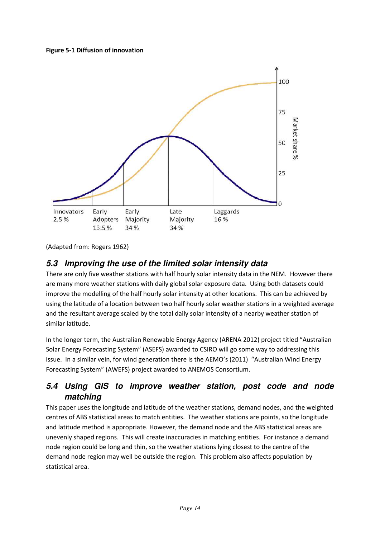#### **Figure 5-1 Diffusion of innovation**



(Adapted from: Rogers 1962)

#### **5.3 Improving the use of the limited solar intensity data**

There are only five weather stations with half hourly solar intensity data in the NEM. However there are many more weather stations with daily global solar exposure data. Using both datasets could improve the modelling of the half hourly solar intensity at other locations. This can be achieved by using the latitude of a location between two half hourly solar weather stations in a weighted average and the resultant average scaled by the total daily solar intensity of a nearby weather station of similar latitude.

In the longer term, the Australian Renewable Energy Agency (ARENA 2012) project titled "Australian Solar Energy Forecasting System" (ASEFS) awarded to CSIRO will go some way to addressing this issue. In a similar vein, for wind generation there is the AEMO's (2011) "Australian Wind Energy Forecasting System" (AWEFS) project awarded to ANEMOS Consortium.

#### **5.4 Using GIS to improve weather station, post code and node matching**

This paper uses the longitude and latitude of the weather stations, demand nodes, and the weighted centres of ABS statistical areas to match entities. The weather stations are points, so the longitude and latitude method is appropriate. However, the demand node and the ABS statistical areas are unevenly shaped regions. This will create inaccuracies in matching entities. For instance a demand node region could be long and thin, so the weather stations lying closest to the centre of the demand node region may well be outside the region. This problem also affects population by statistical area.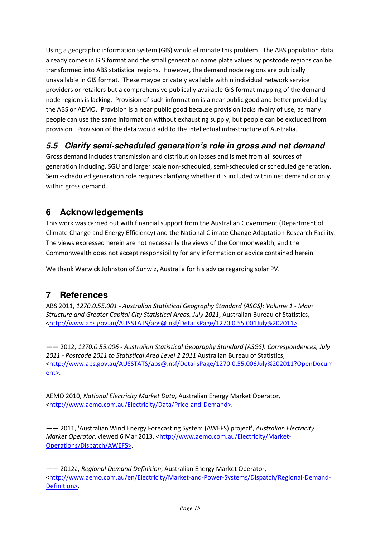Using a geographic information system (GIS) would eliminate this problem. The ABS population data already comes in GIS format and the small generation name plate values by postcode regions can be transformed into ABS statistical regions. However, the demand node regions are publically unavailable in GIS format. These maybe privately available within individual network service providers or retailers but a comprehensive publically available GIS format mapping of the demand node regions is lacking. Provision of such information is a near public good and better provided by the ABS or AEMO. Provision is a near public good because provision lacks rivalry of use, as many people can use the same information without exhausting supply, but people can be excluded from provision. Provision of the data would add to the intellectual infrastructure of Australia.

#### **5.5 Clarify semi-scheduled generation's role in gross and net demand**

Gross demand includes transmission and distribution losses and is met from all sources of generation including, SGU and larger scale non-scheduled, semi-scheduled or scheduled generation. Semi-scheduled generation role requires clarifying whether it is included within net demand or only within gross demand.

# **6 Acknowledgements**

This work was carried out with financial support from the Australian Government (Department of Climate Change and Energy Efficiency) and the National Climate Change Adaptation Research Facility. The views expressed herein are not necessarily the views of the Commonwealth, and the Commonwealth does not accept responsibility for any information or advice contained herein.

We thank Warwick Johnston of Sunwiz, Australia for his advice regarding solar PV.

# **7 References**

ABS 2011, *1270.0.55.001 - Australian Statistical Geography Standard (ASGS): Volume 1 - Main Structure and Greater Capital City Statistical Areas, July 2011*, Australian Bureau of Statistics, <http://www.abs.gov.au/AUSSTATS/abs@.nsf/DetailsPage/1270.0.55.001July%202011>.

—— 2012, *1270.0.55.006 - Australian Statistical Geography Standard (ASGS): Correspondences, July 2011 - Postcode 2011 to Statistical Area Level 2 2011* Australian Bureau of Statistics, <http://www.abs.gov.au/AUSSTATS/abs@.nsf/DetailsPage/1270.0.55.006July%202011?OpenDocum ent>.

AEMO 2010, *National Electricity Market Data*, Australian Energy Market Operator, <http://www.aemo.com.au/Electricity/Data/Price-and-Demand>.

—— 2011, 'Australian Wind Energy Forecasting System (AWEFS) project', *Australian Electricity Market Operator*, viewed 6 Mar 2013, <http://www.aemo.com.au/Electricity/Market-Operations/Dispatch/AWEFS>.

—— 2012a, *Regional Demand Definition*, Australian Energy Market Operator, <http://www.aemo.com.au/en/Electricity/Market-and-Power-Systems/Dispatch/Regional-Demand-Definition>.